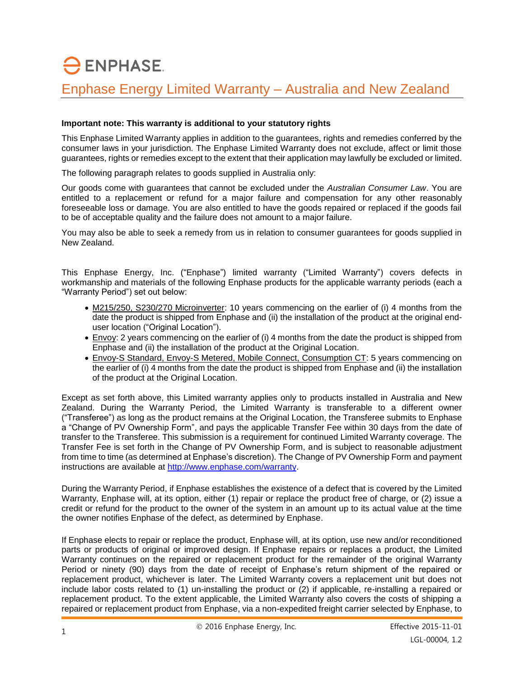## $\ominus$  ENPHASE. Enphase Energy Limited Warranty – Australia and New Zealand

## **Important note: This warranty is additional to your statutory rights**

This Enphase Limited Warranty applies in addition to the guarantees, rights and remedies conferred by the consumer laws in your jurisdiction. The Enphase Limited Warranty does not exclude, affect or limit those guarantees, rights or remedies except to the extent that their application may lawfully be excluded or limited.

The following paragraph relates to goods supplied in Australia only:

Our goods come with guarantees that cannot be excluded under the *Australian Consumer Law*. You are entitled to a replacement or refund for a major failure and compensation for any other reasonably foreseeable loss or damage. You are also entitled to have the goods repaired or replaced if the goods fail to be of acceptable quality and the failure does not amount to a major failure.

You may also be able to seek a remedy from us in relation to consumer guarantees for goods supplied in New Zealand.

This Enphase Energy, Inc. ("Enphase") limited warranty ("Limited Warranty") covers defects in workmanship and materials of the following Enphase products for the applicable warranty periods (each a "Warranty Period") set out below:

- M215/250, S230/270 Microinverter: 10 years commencing on the earlier of (i) 4 months from the date the product is shipped from Enphase and (ii) the installation of the product at the original enduser location ("Original Location").
- Envoy: 2 years commencing on the earlier of (i) 4 months from the date the product is shipped from Enphase and (ii) the installation of the product at the Original Location.
- Envoy-S Standard, Envoy-S Metered, Mobile Connect, Consumption CT: 5 years commencing on the earlier of (i) 4 months from the date the product is shipped from Enphase and (ii) the installation of the product at the Original Location.

Except as set forth above, this Limited warranty applies only to products installed in Australia and New Zealand. During the Warranty Period, the Limited Warranty is transferable to a different owner ("Transferee") as long as the product remains at the Original Location, the Transferee submits to Enphase a "Change of PV Ownership Form", and pays the applicable Transfer Fee within 30 days from the date of transfer to the Transferee. This submission is a requirement for continued Limited Warranty coverage. The Transfer Fee is set forth in the Change of PV Ownership Form, and is subject to reasonable adjustment from time to time (as determined at Enphase's discretion). The Change of PV Ownership Form and payment instructions are available at [http://www.enphase.com/warranty.](http://www.enphase.com/warranty)

During the Warranty Period, if Enphase establishes the existence of a defect that is covered by the Limited Warranty, Enphase will, at its option, either (1) repair or replace the product free of charge, or (2) issue a credit or refund for the product to the owner of the system in an amount up to its actual value at the time the owner notifies Enphase of the defect, as determined by Enphase.

If Enphase elects to repair or replace the product, Enphase will, at its option, use new and/or reconditioned parts or products of original or improved design. If Enphase repairs or replaces a product, the Limited Warranty continues on the repaired or replacement product for the remainder of the original Warranty Period or ninety (90) days from the date of receipt of Enphase's return shipment of the repaired or replacement product, whichever is later. The Limited Warranty covers a replacement unit but does not include labor costs related to (1) un-installing the product or (2) if applicable, re-installing a repaired or replacement product. To the extent applicable, the Limited Warranty also covers the costs of shipping a repaired or replacement product from Enphase, via a non-expedited freight carrier selected by Enphase, to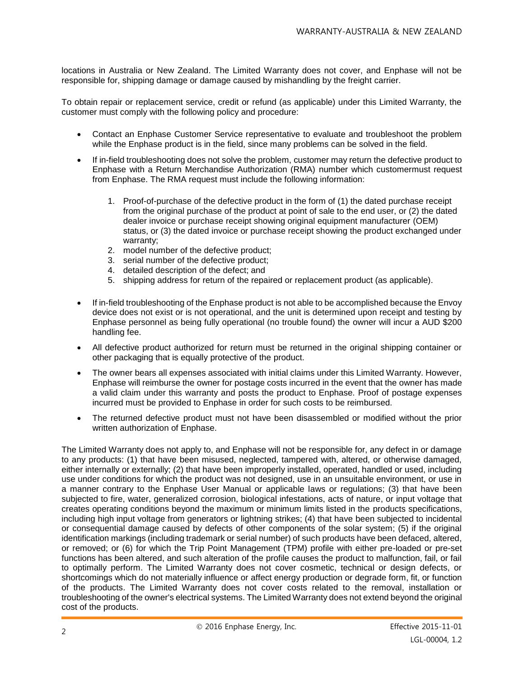locations in Australia or New Zealand. The Limited Warranty does not cover, and Enphase will not be responsible for, shipping damage or damage caused by mishandling by the freight carrier.

To obtain repair or replacement service, credit or refund (as applicable) under this Limited Warranty, the customer must comply with the following policy and procedure:

- Contact an Enphase Customer Service representative to evaluate and troubleshoot the problem while the Enphase product is in the field, since many problems can be solved in the field.
- If in-field troubleshooting does not solve the problem, customer may return the defective product to Enphase with a Return Merchandise Authorization (RMA) number which customermust request from Enphase. The RMA request must include the following information:
	- 1. Proof-of-purchase of the defective product in the form of (1) the dated purchase receipt from the original purchase of the product at point of sale to the end user, or (2) the dated dealer invoice or purchase receipt showing original equipment manufacturer (OEM) status, or (3) the dated invoice or purchase receipt showing the product exchanged under warranty;
	- 2. model number of the defective product;
	- 3. serial number of the defective product;
	- 4. detailed description of the defect; and
	- 5. shipping address for return of the repaired or replacement product (as applicable).
- If in-field troubleshooting of the Enphase product is not able to be accomplished because the Envoy device does not exist or is not operational, and the unit is determined upon receipt and testing by Enphase personnel as being fully operational (no trouble found) the owner will incur a AUD \$200 handling fee.
- All defective product authorized for return must be returned in the original shipping container or other packaging that is equally protective of the product.
- The owner bears all expenses associated with initial claims under this Limited Warranty. However, Enphase will reimburse the owner for postage costs incurred in the event that the owner has made a valid claim under this warranty and posts the product to Enphase. Proof of postage expenses incurred must be provided to Enphase in order for such costs to be reimbursed.
- The returned defective product must not have been disassembled or modified without the prior written authorization of Enphase.

The Limited Warranty does not apply to, and Enphase will not be responsible for, any defect in or damage to any products: (1) that have been misused, neglected, tampered with, altered, or otherwise damaged, either internally or externally; (2) that have been improperly installed, operated, handled or used, including use under conditions for which the product was not designed, use in an unsuitable environment, or use in a manner contrary to the Enphase User Manual or applicable laws or regulations; (3) that have been subjected to fire, water, generalized corrosion, biological infestations, acts of nature, or input voltage that creates operating conditions beyond the maximum or minimum limits listed in the products specifications, including high input voltage from generators or lightning strikes; (4) that have been subjected to incidental or consequential damage caused by defects of other components of the solar system; (5) if the original identification markings (including trademark or serial number) of such products have been defaced, altered, or removed; or (6) for which the Trip Point Management (TPM) profile with either pre-loaded or pre-set functions has been altered, and such alteration of the profile causes the product to malfunction, fail, or fail to optimally perform. The Limited Warranty does not cover cosmetic, technical or design defects, or shortcomings which do not materially influence or affect energy production or degrade form, fit, or function of the products. The Limited Warranty does not cover costs related to the removal, installation or troubleshooting of the owner's electrical systems. The Limited Warranty does not extend beyond the original cost of the products.